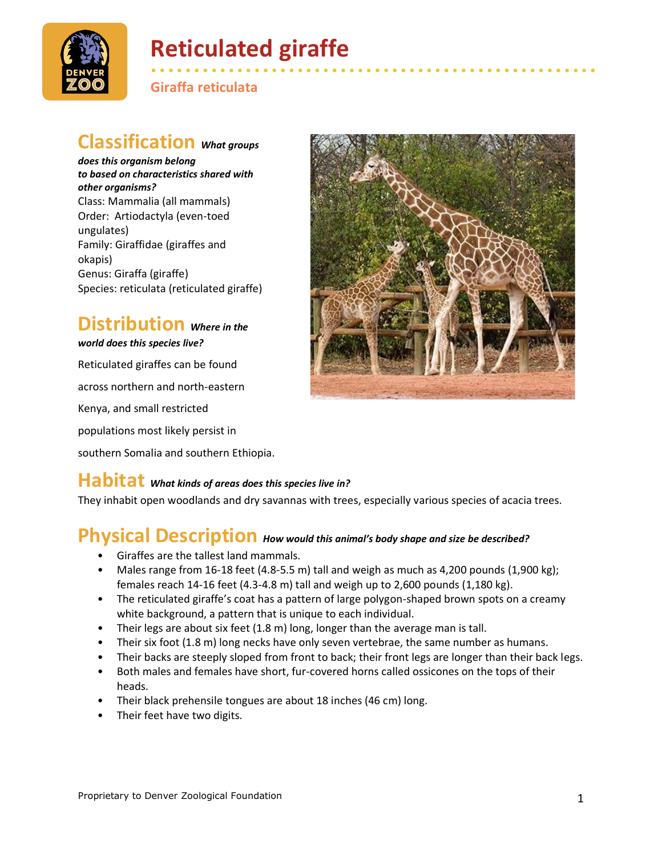

# **Reticulated giraffe**

**Giraffa reticulata**

#### **Classification** *What groups*

*does this organism belong to based on characteristics shared with other organisms?* Class: Mammalia (all mammals) Order: Artiodactyla (even-toed ungulates) Family: Giraffidae (giraffes and okapis) Genus: Giraffa (giraffe) Species: reticulata (reticulated giraffe)

# **Distribution** *Where in the*

*world does this species live?*

Reticulated giraffes can be found across northern and north-eastern Kenya, and small restricted populations most likely persist in southern Somalia and southern Ethiopia.



• • • • • • • • • • • • • • • • • • • • • • • • • • • • • • • • • • • • • • • • • • • • • • • • • • • •

#### **Habitat** *What kinds of areas does this species live in?*

They inhabit open woodlands and dry savannas with trees, especially various species of acacia trees.

## **Physical Description** *How would this animal's body shape and size be described?*

- Giraffes are the tallest land mammals.
- Males range from 16-18 feet (4.8-5.5 m) tall and weigh as much as 4,200 pounds (1,900 kg); females reach 14-16 feet (4.3-4.8 m) tall and weigh up to 2,600 pounds (1,180 kg).
- The reticulated giraffe's coat has a pattern of large polygon-shaped brown spots on a creamy white background, a pattern that is unique to each individual.
- Their legs are about six feet (1.8 m) long, longer than the average man is tall.
- Their six foot (1.8 m) long necks have only seven vertebrae, the same number as humans.
- Their backs are steeply sloped from front to back; their front legs are longer than their back legs.
- Both males and females have short, fur-covered horns called ossicones on the tops of their heads.
- Their black prehensile tongues are about 18 inches (46 cm) long.
- Their feet have two digits.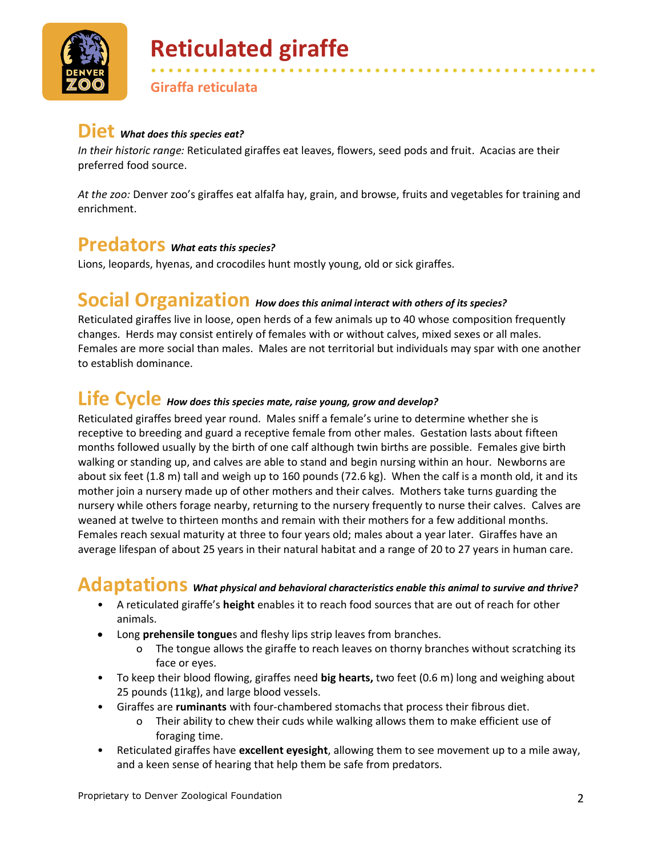

# **Reticulated giraffe**

**Giraffa reticulata**

#### **Diet** *What does this species eat?*

*In their historic range:* Reticulated giraffes eat leaves, flowers, seed pods and fruit. Acacias are their preferred food source.

*At the zoo:* Denver zoo's giraffes eat alfalfa hay, grain, and browse, fruits and vegetables for training and enrichment.

• • • • • • • • • • • • • • • • • • • • • • • • • • • • • • • • • • • • • • • • • • • • • • • • • • • •

#### **Predators** *What eats this species?*

Lions, leopards, hyenas, and crocodiles hunt mostly young, old or sick giraffes.

#### **Social Organization** *How does this animal interact with others of its species?*

Reticulated giraffes live in loose, open herds of a few animals up to 40 whose composition frequently changes. Herds may consist entirely of females with or without calves, mixed sexes or all males. Females are more social than males. Males are not territorial but individuals may spar with one another to establish dominance.

## **Life Cycle** *How does this species mate, raise young, grow and develop?*

Reticulated giraffes breed year round. Males sniff a female's urine to determine whether she is receptive to breeding and guard a receptive female from other males. Gestation lasts about fifteen months followed usually by the birth of one calf although twin births are possible. Females give birth walking or standing up, and calves are able to stand and begin nursing within an hour. Newborns are about six feet (1.8 m) tall and weigh up to 160 pounds (72.6 kg). When the calf is a month old, it and its mother join a nursery made up of other mothers and their calves. Mothers take turns guarding the nursery while others forage nearby, returning to the nursery frequently to nurse their calves. Calves are weaned at twelve to thirteen months and remain with their mothers for a few additional months. Females reach sexual maturity at three to four years old; males about a year later. Giraffes have an average lifespan of about 25 years in their natural habitat and a range of 20 to 27 years in human care.

## **Adaptations** *What physical and behavioral characteristics enable this animal to survive and thrive?*

- A reticulated giraffe's **height** enables it to reach food sources that are out of reach for other animals.
- Long **prehensile tongue**s and fleshy lips strip leaves from branches.
	- o The tongue allows the giraffe to reach leaves on thorny branches without scratching its face or eyes.
- To keep their blood flowing, giraffes need **big hearts,** two feet (0.6 m) long and weighing about 25 pounds (11kg), and large blood vessels.
- Giraffes are **ruminants** with four-chambered stomachs that process their fibrous diet.
	- o Their ability to chew their cuds while walking allows them to make efficient use of foraging time.
- Reticulated giraffes have **excellent eyesight**, allowing them to see movement up to a mile away, and a keen sense of hearing that help them be safe from predators.